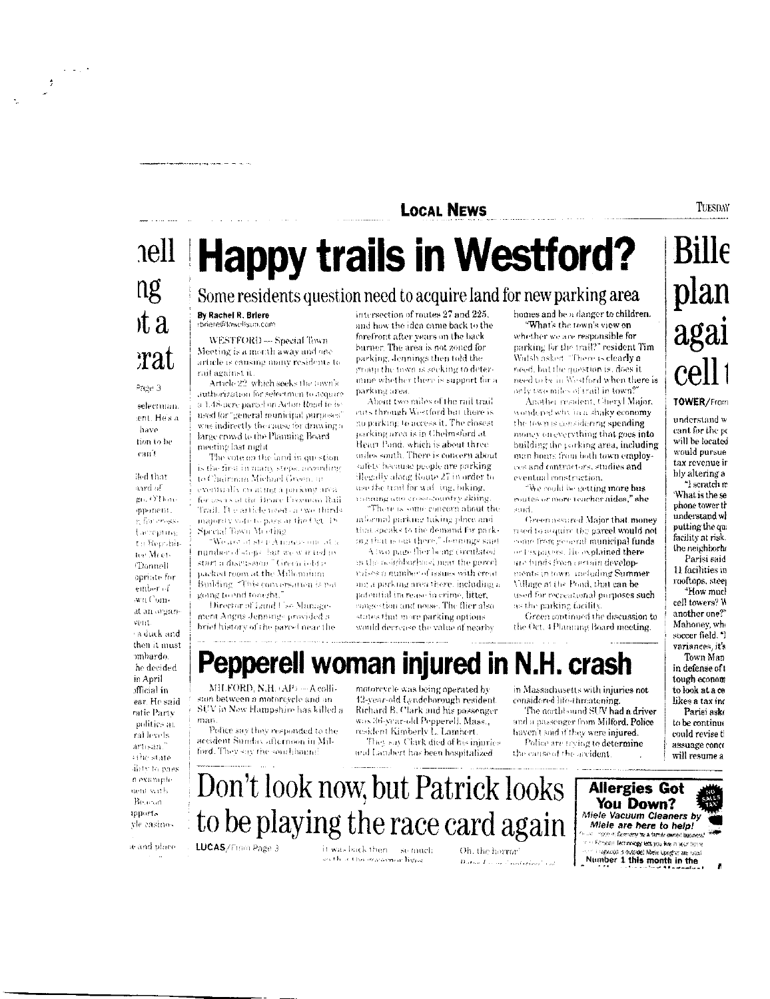### **LOCAL NEWS**

# ng  $x^2$ rat

والرعاب

 $\frac{s}{J}$ 

#### Page 3

selectman ent Hesa have tion to be ean't

fled that aard of gn. O'Donmourient. g for enses. Eaccepting to Republiter MeetiTrannell opriate for ember of wn Comat an organvent. raduck and then it must mbardo. he decided in April official in ear. He said ratic Party politics at ral levels artisan silie state ditty to pass n example nem with Belevin inport. vle casino-

man

se and place

## nell Happy trails in Westford? Some residents question need to acquire land for new parking area

By Rachel R. Briere rbriere@lowellsun.com

> WESTFORD-Special Town Meeting is a month away and one article is causing many residents to rail against it

Article 22 which seeks the town's authorization for selectmen to acquire a L48-acre parcel on Acton Road fe he used for "general municipal purposes" was indirectly the cause for drawing a large crowd to the Planning Board meeting last mght.

The vote on the land in question is the first in many steps, according to Chairman Michael Green, ineventually on ating a parking area for asers of the Bruce Freeman Rail Trail. It contide used on we think majority vote to pass at the Oct. 18 Special Town Meeting

We also also the function of  $\mu$ number of steps, but we war ted to start a discussion "Green told g uacked room at the Millennium. Building "This conversation is put going to end tonezht.

Director of Land Use Management Angus Jennings provided a brief history of the parcel near the

MH.FORD, N.H. (AP) - A colfi-

sun between a motorcycle and an

accident Sunday afternoon in Mil-

ford. They say the southbound

LUCAS/From Page 3

SUV in New Hampshire has killed a

Police say they responded to the

intersection of routes 27 and 225, and how the idea came back to the forefront after years on the back burner. The area is not zoned for parking, Jennings then told the group the town is seeking to determine whether there is support for a parking area.

About two miles of the rail trail cuts through Westford but there is no purking to access it. The closest parking area is in Chelmsford at Heart Pond, which is about three miles south. There is concern about safety bocause people are parking Hegally along Route 27 in order to use the trail for wall ing, biking, maning and cross-country skiing

"There is some concern about the informal parking taking place and that speaks to the demand for parking that is out there," demings suid

A two page flier being circulated in the neighborhood mat the percel mises a number of issues with creat me a parking area there, including a potential increase in crime, litter, congestion and noise. The flier also states that more parking options. would decrease the value of nearby

Pepperell woman injured in N.H. crash

motorcycle was being operated by

12-year-old Lyndeborough resident

Richard B. Clark and his passenger

They say Clark died of his injuries

was 36-year-old Pepperell, Mass.,

and Lambert has been hospitalized.

resident Kimberly L. Lambert.

homes and be a danger to children. What's the town's view on whether we are responsible for parking for the trail?" resident Tim Walsh asked "There is clearly a need, but the question is, does it need to be in Westford when there is only two miles of trail in town?"

Another resident, Cheryl Major, wondered why in a shaky economy the town is considering spending. money on everything that goes into building the parking area, including man hours from both town employces and contractors, studies and eventual construction.

"We could be getting more bus routes or more teacher aides," she soid.

Green assured Major that money used to acquire the parcel would not come from general municipal funds. or Enxpayers, He explained there are funds from certain developments in town, cocloding Summer Village at the Pond, that can be used for recreational purposes such ns the parking facility.

Green continued the discussion to the Oct. 4 Planning Board meeting.

considered life-threatening.

the cause of the accident.

haven't said if they were injured.

Police are trying to determine

**Bille** plan agai cell TOWER/From

understand w cant for the pc will be located would pursue tax revenue ir bly altering a "I scratch m

What is the se phone tower tr understand wi putting the qu facility at risk. the neighborh Parisi said

11 facilities in rooftops, steer "How mucl cell towers? W another one?" Mahoney, whi soccer field. "I variances, it's Town Man in defense of t tough econom

in Massachusetts with injuries not to look at a ce likes a tax inc The northbound SUV had a driver Parisi aske and a passenger from Milford. Police to be continue could revise f.

assuage conce

will resume a

Don't look now, but Patrick looks to be playing the race card again

> it was luck then so much en their this managemention.

Oh. the horror<sup>1</sup> Datan Land Charles a

Allergies Got You Down? Miele Vacuum Cleaners by Miele are here to help! ice in Germany fiv a family ow Fit-state Technology lats you like in your home The Pression increasing involvements are related<br>The company of the state of the State of the State Company of the State of the State of the State of the State of the State of the State of the State of the State of the Sta

TUESDAY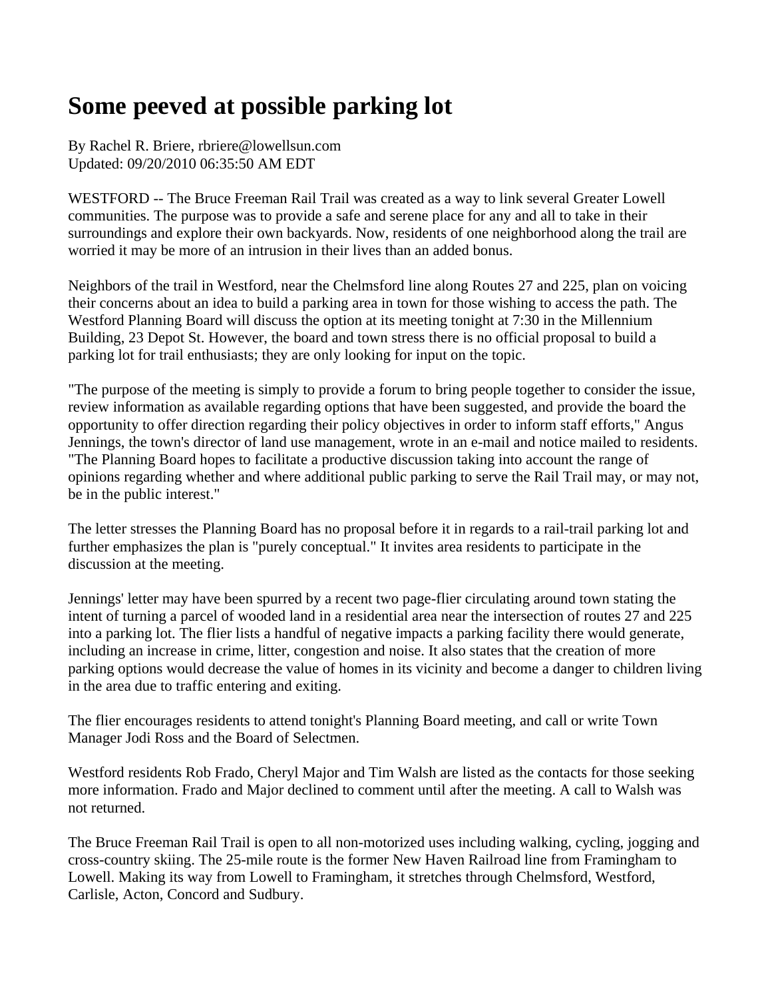### **Some peeved at possible parking lot**

By Rachel R. Briere, rbriere@lowellsun.com Updated: 09/20/2010 06:35:50 AM EDT

WESTFORD -- The Bruce Freeman Rail Trail was created as a way to link several Greater Lowell communities. The purpose was to provide a safe and serene place for any and all to take in their surroundings and explore their own backyards. Now, residents of one neighborhood along the trail are worried it may be more of an intrusion in their lives than an added bonus.

Neighbors of the trail in Westford, near the Chelmsford line along Routes 27 and 225, plan on voicing their concerns about an idea to build a parking area in town for those wishing to access the path. The Westford Planning Board will discuss the option at its meeting tonight at 7:30 in the Millennium Building, 23 Depot St. However, the board and town stress there is no official proposal to build a parking lot for trail enthusiasts; they are only looking for input on the topic.

"The purpose of the meeting is simply to provide a forum to bring people together to consider the issue, review information as available regarding options that have been suggested, and provide the board the opportunity to offer direction regarding their policy objectives in order to inform staff efforts," Angus Jennings, the town's director of land use management, wrote in an e-mail and notice mailed to residents. "The Planning Board hopes to facilitate a productive discussion taking into account the range of opinions regarding whether and where additional public parking to serve the Rail Trail may, or may not, be in the public interest."

The letter stresses the Planning Board has no proposal before it in regards to a rail-trail parking lot and further emphasizes the plan is "purely conceptual." It invites area residents to participate in the discussion at the meeting.

Jennings' letter may have been spurred by a recent two page-flier circulating around town stating the intent of turning a parcel of wooded land in a residential area near the intersection of routes 27 and 225 into a parking lot. The flier lists a handful of negative impacts a parking facility there would generate, including an increase in crime, litter, congestion and noise. It also states that the creation of more parking options would decrease the value of homes in its vicinity and become a danger to children living in the area due to traffic entering and exiting.

The flier encourages residents to attend tonight's Planning Board meeting, and call or write Town Manager Jodi Ross and the Board of Selectmen.

Westford residents Rob Frado, Cheryl Major and Tim Walsh are listed as the contacts for those seeking more information. Frado and Major declined to comment until after the meeting. A call to Walsh was not returned.

The Bruce Freeman Rail Trail is open to all non-motorized uses including walking, cycling, jogging and cross-country skiing. The 25-mile route is the former New Haven Railroad line from Framingham to Lowell. Making its way from Lowell to Framingham, it stretches through Chelmsford, Westford, Carlisle, Acton, Concord and Sudbury.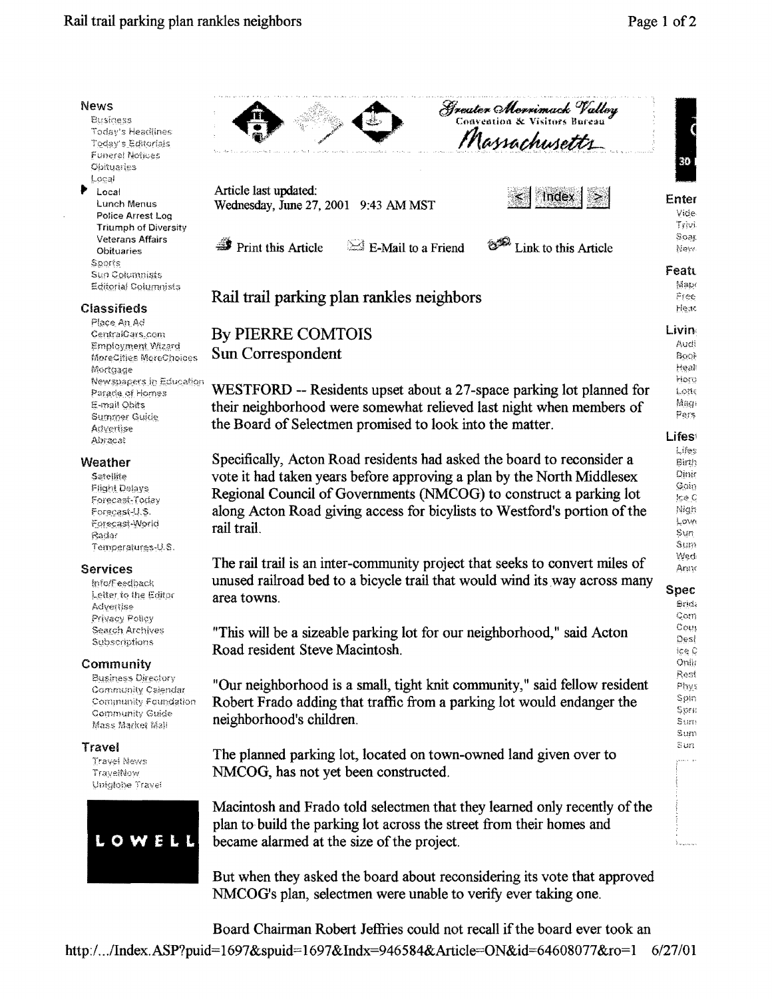| <b>News</b>                                        | <b>Greater Morrimack Valley</b><br>Convention & Visitors Bureau             |                         |
|----------------------------------------------------|-----------------------------------------------------------------------------|-------------------------|
| Business<br>Today's Headlines                      |                                                                             | $\overline{\mathbf{C}}$ |
| Today's Editorials                                 | Massachusetts                                                               |                         |
| Funeral Notices<br><b>Obituaries</b>               |                                                                             | 30                      |
| Local                                              |                                                                             |                         |
| Þ<br>Local                                         | Article last updated:<br>Index                                              | Enter                   |
| Lunch Menus                                        | Wednesday, June 27, 2001 9:43 AM MST                                        | Vide                    |
| Police Arrest Log<br><b>Triumph of Diversity</b>   |                                                                             | Trivi                   |
| <b>Veterans Affairs</b>                            | $\mathbf{\mathcal{F}}$ Print this Article<br>$\approx$ E-Mail to a Friend   | Soar                    |
| <b>Obituaries</b>                                  | Link to this Article                                                        | New                     |
| Sports<br>Sun Columnists                           |                                                                             | Featt                   |
| <b>Editorial Columnists</b>                        |                                                                             | Map                     |
| <b>Classifieds</b>                                 | Rail trail parking plan rankles neighbors                                   | Mree<br>Meac            |
| Place An Ad                                        |                                                                             |                         |
| CentralCars.com                                    | <b>By PIERRE COMTOIS</b>                                                    | Livin                   |
| <b>Employment Wizard</b><br>MoreCities MoreChoices | Sun Correspondent                                                           | Audi<br>Book            |
| Mortgage                                           |                                                                             | Heal                    |
| Newspapers in Education                            | WESTFORD -- Residents upset about a 27-space parking lot planned for        | Horo                    |
| Parade of Homes<br>E-mail Obits                    | their neighborhood were somewhat relieved last night when members of        | Lotte<br>Mag            |
| Summer Guide                                       |                                                                             | Pers                    |
| Advertise                                          | the Board of Selectmen promised to look into the matter.                    | <b>Lifes</b>            |
| Abracat                                            |                                                                             | Lifes                   |
| Weather                                            | Specifically, Acton Road residents had asked the board to reconsider a      | Birth                   |
| Satellite                                          | vote it had taken years before approving a plan by the North Middlesex      | Dinir<br>Gain           |
| <b>Flight Delays</b><br>Forecast-Today             | Regional Council of Governments (NMCOG) to construct a parking lot          | ice C                   |
| Forecast U.S.                                      | along Acton Road giving access for bicylists to Westford's portion of the   | Nigh                    |
| Forecast-World<br>Radar                            | rail trail.                                                                 | LOW<br>Sun              |
| Temperatures-U.S.                                  |                                                                             | Sum                     |
| <b>Services</b>                                    | The rail trail is an inter-community project that seeks to convert miles of | Wed<br>Arux             |
| info/Feedback                                      | unused railroad bed to a bicycle trail that would wind its way across many  |                         |
| Letter to the Editor                               | area towns.                                                                 | Spec                    |
| Advertise<br>Privacy Policy                        |                                                                             | Sridi<br>Qom            |
| Search Archives                                    | "This will be a sizeable parking lot for our neighborhood," said Acton      | Cour                    |
| Subscriptions                                      | Road resident Steve Macintosh.                                              | Dest                    |
| Community                                          |                                                                             | ice L<br>Onlir          |
| <b>Business Directory</b>                          |                                                                             | Rest                    |
| Community Calendar                                 | "Our neighborhood is a small, tight knit community," said fellow resident   | Phys<br>Spin            |
| Community Foundation<br>Community Guide            | Robert Frado adding that traffic from a parking lot would endanger the      | Sofi                    |
| Mass Market Mall                                   | neighborhood's children.                                                    | Sum<br>Sum              |
| Travel                                             |                                                                             | Sun                     |
| Travel News                                        | The planned parking lot, located on town-owned land given over to           | دوا المحجر              |
| TravelNow                                          | NMCOG, has not yet been constructed.                                        |                         |
| Uniglobe Travel                                    |                                                                             |                         |
|                                                    | Macintosh and Frado told selectmen that they learned only recently of the   |                         |
|                                                    | plan to build the parking lot across the street from their homes and        |                         |
| LOWELL                                             | became alarmed at the size of the project.                                  |                         |
|                                                    |                                                                             |                         |
|                                                    | But when they asked the board about reconsidering its vote that approved    |                         |
|                                                    | NMCOG's plan, selectmen were unable to verify ever taking one.              |                         |

Board Chairman Robert Jeffries could not recall if the board ever took an http:/.../Index.ASP?puid=1697&spuid=1697&Indx=946584&Article=ON&id=64608077&ro=1 6/27/01